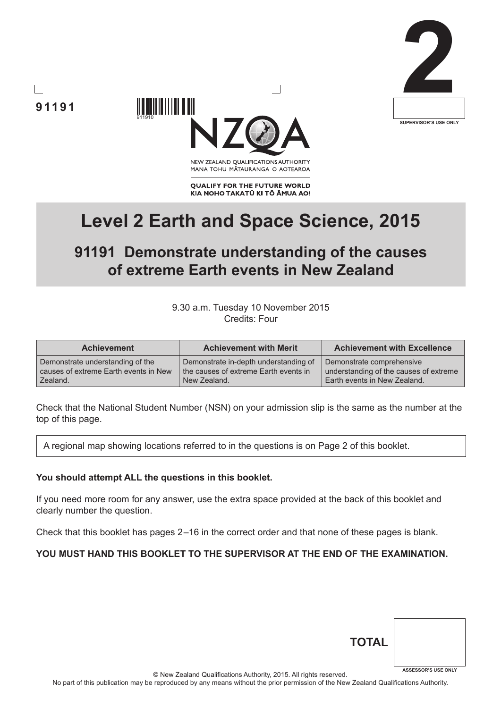



MANA TOHU MĀTAURANGA O AOTEAROA

**QUALIFY FOR THE FUTURE WORLD** KIA NOHO TAKATŪ KI TŌ ĀMUA AO!

# **Level 2 Earth and Space Science, 2015**

## **91191 Demonstrate understanding of the causes of extreme Earth events in New Zealand**

9.30 a.m. Tuesday 10 November 2015 Credits: Four

| <b>Achievement</b>                    | <b>Achievement with Merit</b>         | <b>Achievement with Excellence</b>     |
|---------------------------------------|---------------------------------------|----------------------------------------|
| Demonstrate understanding of the      | Demonstrate in-depth understanding of | Demonstrate comprehensive              |
| causes of extreme Earth events in New | the causes of extreme Earth events in | understanding of the causes of extreme |
| Zealand.                              | New Zealand.                          | Earth events in New Zealand.           |

Check that the National Student Number (NSN) on your admission slip is the same as the number at the top of this page.

A regional map showing locations referred to in the questions is on Page 2 of this booklet.

#### **You should attempt ALL the questions in this booklet.**

If you need more room for any answer, use the extra space provided at the back of this booklet and clearly number the question.

Check that this booklet has pages 2 –16 in the correct order and that none of these pages is blank.

## **YOU MUST HAND THIS BOOKLET TO THE SUPERVISOR AT THE END OF THE EXAMINATION.**

| <b>TOTAL</b> |                            |
|--------------|----------------------------|
|              | <b>ASSESSOR'S USE ONLY</b> |

© New Zealand Qualifications Authority, 2015. All rights reserved.

**91191**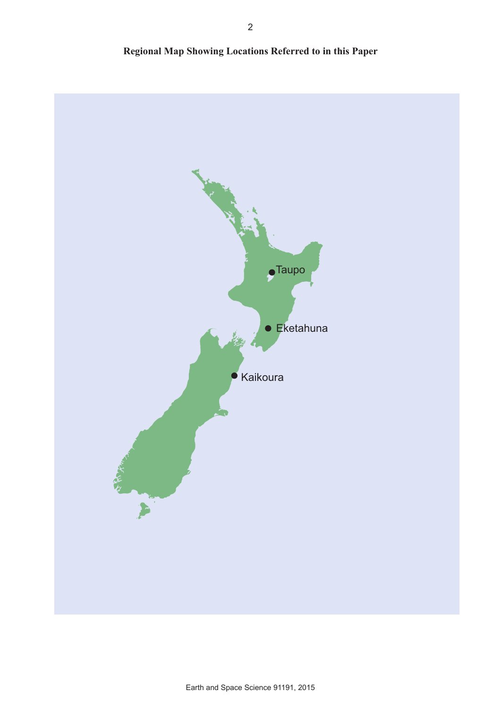**Regional Map Showing Locations Referred to in this Paper**

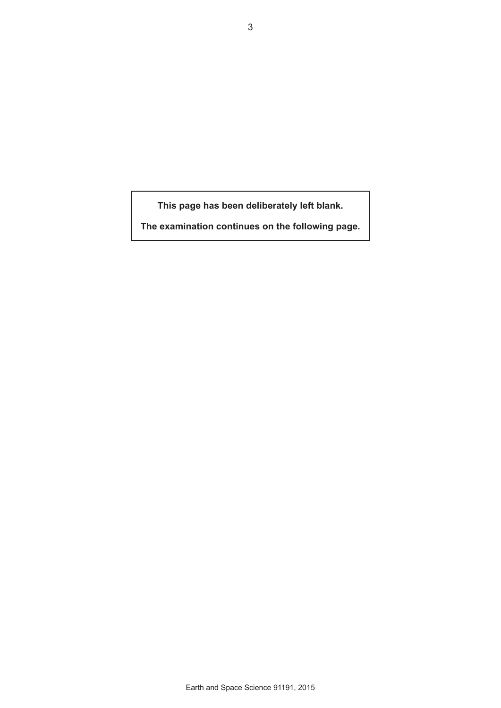**This page has been deliberately left blank.**

**The examination continues on the following page.**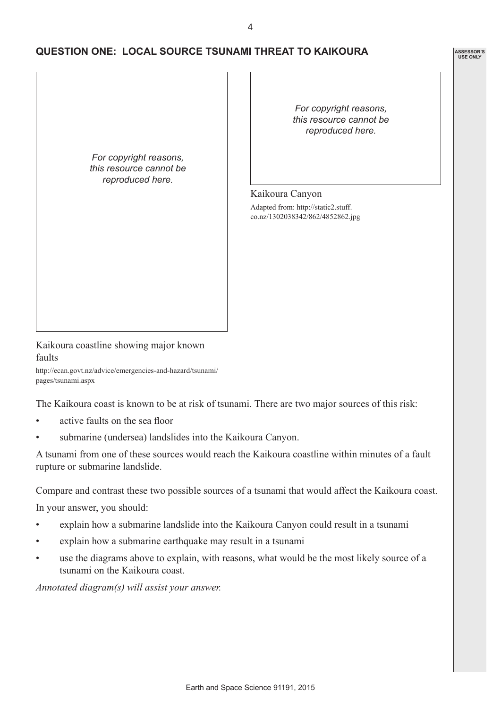## **QUESTION ONE: LOCAL SOURCE TSUNAMI THREAT TO KAIKOURA**

**ASSESSOR'S USE ONLY**

*For copyright reasons, this resource cannot be reproduced here.*

*For copyright reasons, this resource cannot be reproduced here.*

#### Kaikoura Canyon

Adapted from: http://static2.stuff. co.nz/1302038342/862/4852862.jpg

Kaikoura coastline showing major known faults

http://ecan.govt.nz/advice/emergencies-and-hazard/tsunami/ pages/tsunami.aspx

The Kaikoura coast is known to be at risk of tsunami. There are two major sources of this risk:

- active faults on the sea floor
- submarine (undersea) landslides into the Kaikoura Canyon.

A tsunami from one of these sources would reach the Kaikoura coastline within minutes of a fault rupture or submarine landslide.

Compare and contrast these two possible sources of a tsunami that would affect the Kaikoura coast.

In your answer, you should:

- explain how a submarine landslide into the Kaikoura Canyon could result in a tsunami
- explain how a submarine earthquake may result in a tsunami
- use the diagrams above to explain, with reasons, what would be the most likely source of a tsunami on the Kaikoura coast.

*Annotated diagram(s) will assist your answer.*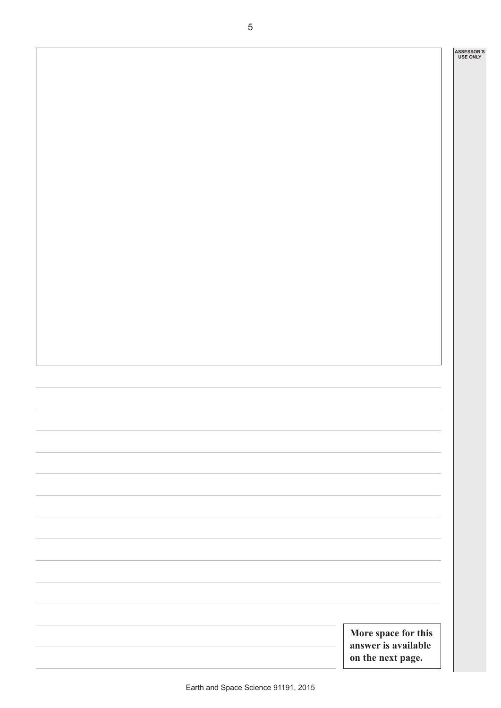**ASSESSOR'S USE ONLY**

| More space for this |
|---------------------|
| answer is available |
| on the next page.   |

 $\overline{a}$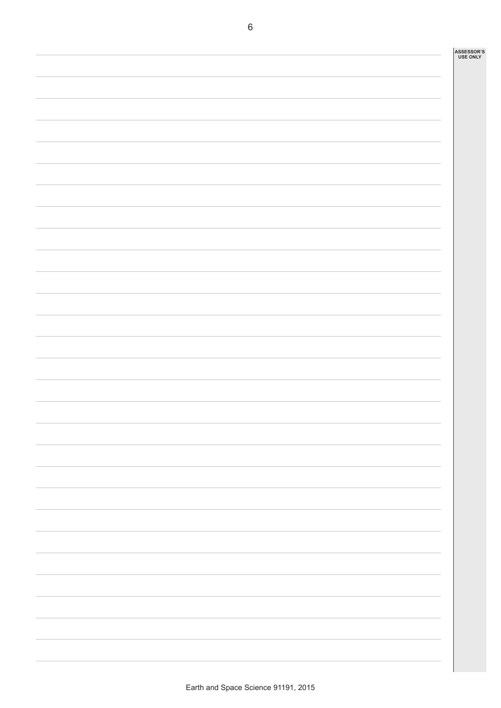|  | ASSESSOR'S<br>USE ONLY |
|--|------------------------|
|  |                        |
|  |                        |
|  |                        |
|  |                        |
|  |                        |
|  |                        |
|  |                        |
|  |                        |
|  |                        |
|  |                        |
|  |                        |
|  |                        |
|  |                        |
|  |                        |
|  |                        |
|  |                        |
|  |                        |
|  |                        |
|  |                        |
|  |                        |
|  |                        |
|  |                        |
|  |                        |
|  |                        |
|  |                        |
|  |                        |
|  |                        |
|  |                        |
|  |                        |
|  |                        |
|  |                        |
|  |                        |
|  |                        |
|  |                        |
|  |                        |
|  |                        |
|  |                        |
|  |                        |
|  |                        |
|  |                        |
|  |                        |
|  |                        |
|  |                        |
|  |                        |
|  |                        |
|  |                        |
|  |                        |
|  |                        |
|  |                        |
|  |                        |
|  |                        |
|  |                        |
|  |                        |
|  |                        |
|  |                        |
|  |                        |
|  |                        |
|  |                        |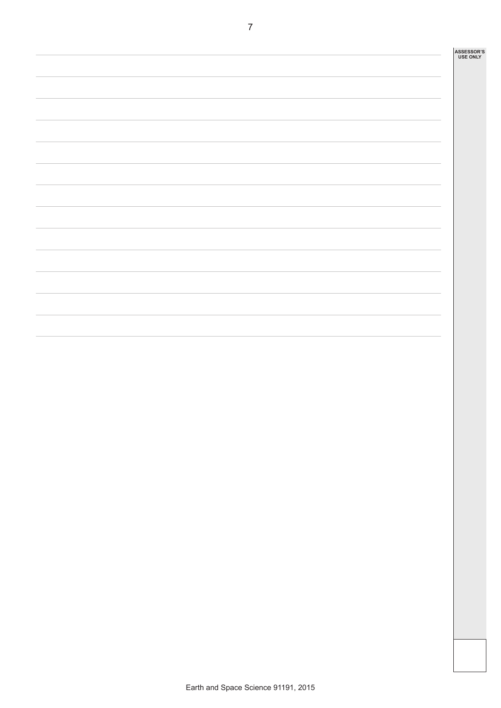**ASSESSOR'S USE ONLY**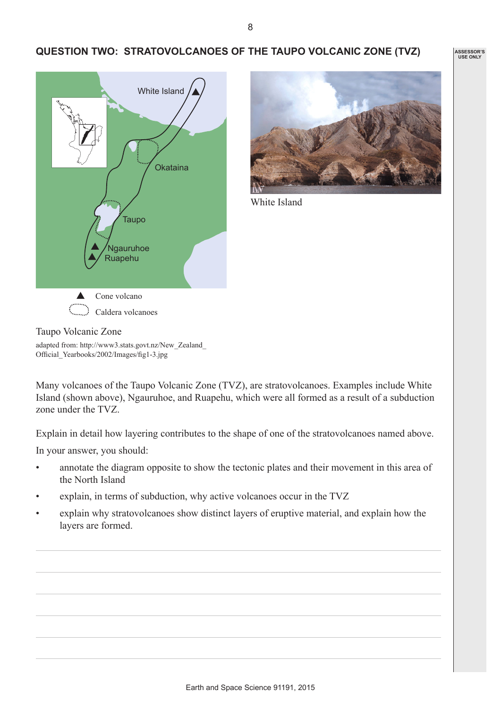8

## **QUESTION TWO: STRATOVOLCANOES OF THE TAUPO VOLCANIC ZONE (TVZ)**

**ASSESSOR'S USE ONLY**





White Island

## Taupo Volcanic Zone

adapted from: http://www3.stats.govt.nz/New\_Zealand\_ Official\_Yearbooks/2002/Images/fig1-3.jpg

Many volcanoes of the Taupo Volcanic Zone (TVZ), are stratovolcanoes. Examples include White Island (shown above), Ngauruhoe, and Ruapehu, which were all formed as a result of a subduction zone under the TVZ.

Explain in detail how layering contributes to the shape of one of the stratovolcanoes named above.

In your answer, you should:

- annotate the diagram opposite to show the tectonic plates and their movement in this area of the North Island
- explain, in terms of subduction, why active volcanoes occur in the TVZ
- explain why stratovolcanoes show distinct layers of eruptive material, and explain how the layers are formed.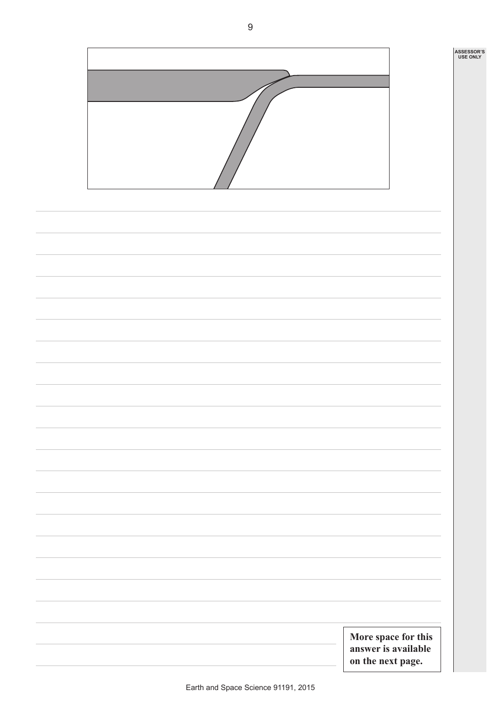| More space for this<br>answer is available<br>on the next page. |                        |
|-----------------------------------------------------------------|------------------------|
|                                                                 |                        |
|                                                                 |                        |
|                                                                 |                        |
|                                                                 |                        |
|                                                                 |                        |
|                                                                 |                        |
|                                                                 |                        |
|                                                                 |                        |
|                                                                 |                        |
|                                                                 |                        |
|                                                                 |                        |
|                                                                 |                        |
|                                                                 |                        |
|                                                                 |                        |
|                                                                 | ASSESSOR'S<br>USE ONLY |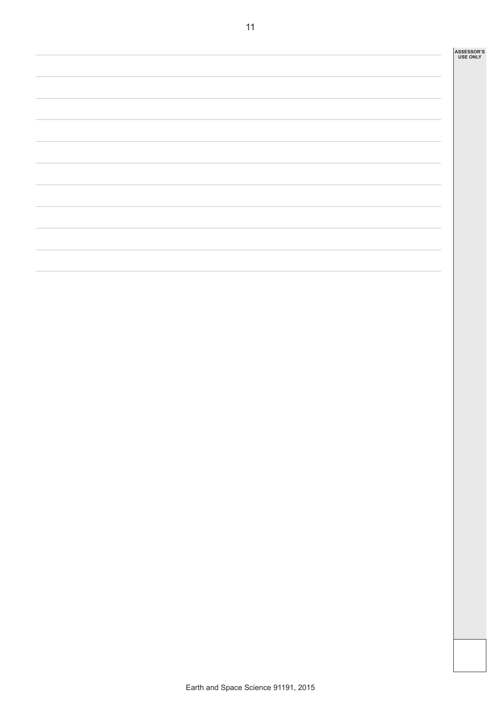#### **ASSESSOR'S USE ONLY**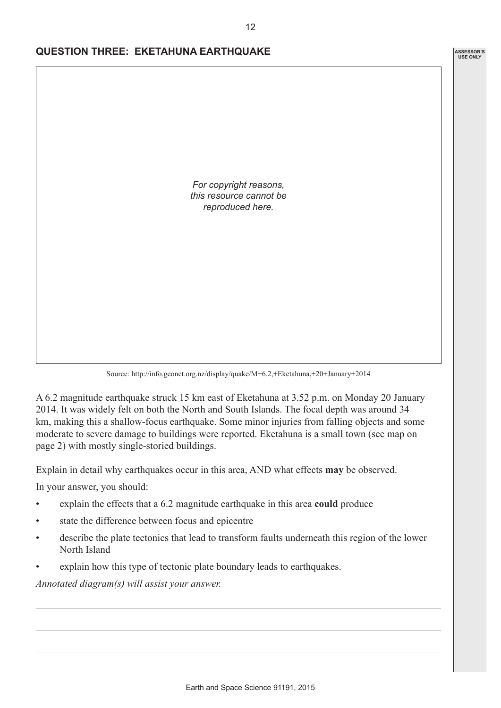

## **QUESTION THREE: EKETAHUNA EARTHQUAKE**

Source: http://info.geonet.org.nz/display/quake/M+6.2,+Eketahuna,+20+January+2014

A 6.2 magnitude earthquake struck 15 km east of Eketahuna at 3.52 p.m. on Monday 20 January 2014. It was widely felt on both the North and South Islands. The focal depth was around 34 km, making this a shallow-focus earthquake. Some minor injuries from falling objects and some moderate to severe damage to buildings were reported. Eketahuna is a small town (see map on page 2) with mostly single-storied buildings.

Explain in detail why earthquakes occur in this area, AND what effects **may** be observed.

In your answer, you should:

- explain the effects that a 6.2 magnitude earthquake in this area **could** produce
- state the difference between focus and epicentre
- describe the plate tectonics that lead to transform faults underneath this region of the lower North Island
- explain how this type of tectonic plate boundary leads to earthquakes.

*Annotated diagram(s) will assist your answer.*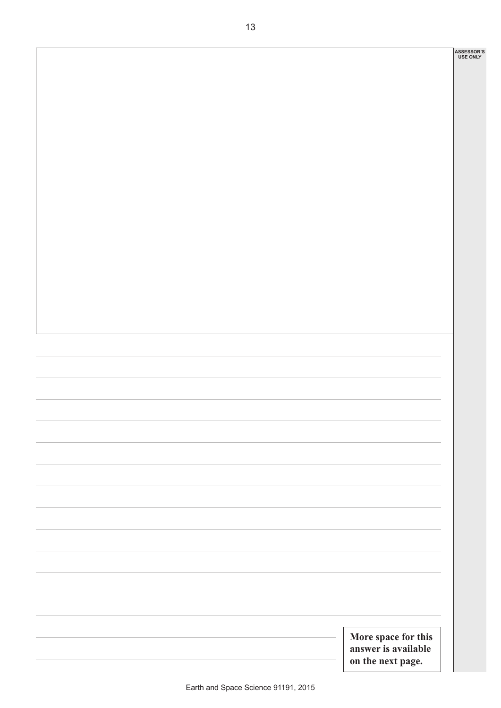**More space for this answer is available on the next page.**

**ASSESSOR'S USE ONLY**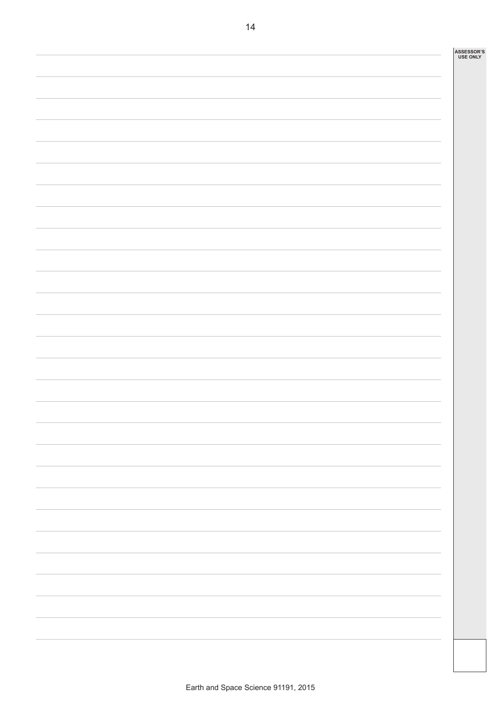| ASSESSOR'S<br>USE ONLY |
|------------------------|
|                        |
|                        |
|                        |
|                        |
|                        |
|                        |
|                        |
|                        |
|                        |
|                        |
|                        |
|                        |
|                        |
|                        |
|                        |
|                        |
|                        |
|                        |
|                        |
|                        |
|                        |
|                        |
|                        |
|                        |
|                        |
|                        |
|                        |
|                        |
|                        |
|                        |
|                        |
|                        |
|                        |
|                        |
|                        |
|                        |
|                        |
|                        |
|                        |
|                        |
|                        |
|                        |
|                        |
|                        |
|                        |
|                        |
|                        |
|                        |
|                        |
|                        |
|                        |
|                        |
|                        |
|                        |
|                        |
|                        |
|                        |
|                        |
|                        |
|                        |
|                        |
|                        |
|                        |
|                        |
|                        |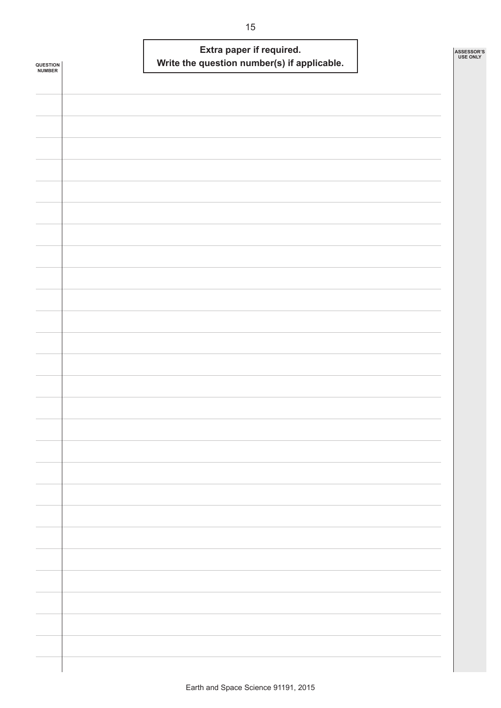| <b>QUESTION<br/>NUMBER</b> |  | Extra paper if required.<br>Write the question number(s) if applicable. |  |  | ASSESSOR'S<br><b>USE ONLY</b> |
|----------------------------|--|-------------------------------------------------------------------------|--|--|-------------------------------|
|                            |  |                                                                         |  |  |                               |
|                            |  |                                                                         |  |  |                               |
|                            |  |                                                                         |  |  |                               |
|                            |  |                                                                         |  |  |                               |
|                            |  |                                                                         |  |  |                               |
|                            |  |                                                                         |  |  |                               |
|                            |  |                                                                         |  |  |                               |
|                            |  |                                                                         |  |  |                               |
|                            |  |                                                                         |  |  |                               |
|                            |  |                                                                         |  |  |                               |
|                            |  |                                                                         |  |  |                               |
|                            |  |                                                                         |  |  |                               |
|                            |  |                                                                         |  |  |                               |
|                            |  |                                                                         |  |  |                               |
|                            |  |                                                                         |  |  |                               |
|                            |  |                                                                         |  |  |                               |
|                            |  |                                                                         |  |  |                               |
|                            |  |                                                                         |  |  |                               |
|                            |  |                                                                         |  |  |                               |
|                            |  |                                                                         |  |  |                               |
|                            |  |                                                                         |  |  |                               |
|                            |  |                                                                         |  |  |                               |
|                            |  |                                                                         |  |  |                               |
|                            |  |                                                                         |  |  |                               |
|                            |  |                                                                         |  |  |                               |
|                            |  |                                                                         |  |  |                               |
|                            |  |                                                                         |  |  |                               |